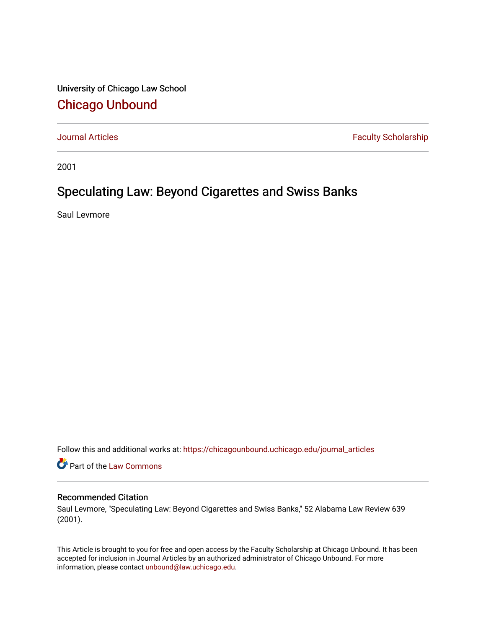University of Chicago Law School [Chicago Unbound](https://chicagounbound.uchicago.edu/)

[Journal Articles](https://chicagounbound.uchicago.edu/journal_articles) **Faculty Scholarship Faculty Scholarship** 

2001

## Speculating Law: Beyond Cigarettes and Swiss Banks

Saul Levmore

Follow this and additional works at: [https://chicagounbound.uchicago.edu/journal\\_articles](https://chicagounbound.uchicago.edu/journal_articles?utm_source=chicagounbound.uchicago.edu%2Fjournal_articles%2F1573&utm_medium=PDF&utm_campaign=PDFCoverPages) 

Part of the [Law Commons](http://network.bepress.com/hgg/discipline/578?utm_source=chicagounbound.uchicago.edu%2Fjournal_articles%2F1573&utm_medium=PDF&utm_campaign=PDFCoverPages)

## Recommended Citation

Saul Levmore, "Speculating Law: Beyond Cigarettes and Swiss Banks," 52 Alabama Law Review 639 (2001).

This Article is brought to you for free and open access by the Faculty Scholarship at Chicago Unbound. It has been accepted for inclusion in Journal Articles by an authorized administrator of Chicago Unbound. For more information, please contact [unbound@law.uchicago.edu](mailto:unbound@law.uchicago.edu).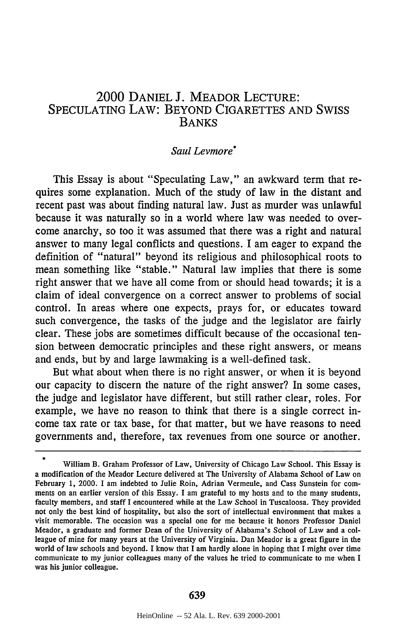## 2000 DANIEL J. MEADOR LECTURE: SPECULATING LAW: BEYOND CIGARETTES AND SWISS BANKS

## *Saul Levmore\**

This Essay is about "Speculating Law," an awkward term that requires some explanation. Much of the study of law in the distant and recent past was about finding natural law. Just as murder was unlawful because it was naturally so in a world where law was needed to overcome anarchy, so too it was assumed that there was a right and natural answer to many legal conflicts and questions. I am eager to expand the definition of "natural" beyond its religious and philosophical roots to mean something like "stable." Natural law implies that there is some right answer that we have all come from or should head towards; it is a claim of ideal convergence on a correct answer to problems of social control. In areas where one expects, prays for, or educates toward such convergence, the tasks of the judge and the legislator are fairly clear. These jobs are sometimes difficult because of the occasional tension between democratic principles and these right answers, or means and ends, but by and large lawmaking is a well-defined task.

But what about when there is no right answer, or when it is beyond our capacity to discern the nature of the right answer? In some cases, the judge and legislator have different, but still rather clear, roles. For example, we have no reason to think that there is a single correct income tax rate or tax base, for that matter, but we have reasons to need governments and, therefore, tax revenues from one source or another.

 $\bullet$ 

William B. Graham Professor of Law, University of Chicago Law School. This Essay is a modification of the Meador Lecture delivered at The University of Alabama School of Law on February 1, 2000. I am indebted to Julie Roin, Adrian Vermeule, and Cass Sunstein for comments on an earlier version of this Essay. I am grateful to my hosts and to the many students, faculty members, and staff I encountered while at the Law School in Tuscaloosa. They provided not only the best kind of hospitality, but also the sort of intellectual environment that makes a visit memorable. The occasion was a special one for me because it honors Professor Daniel Meador, a graduate and former Dean of the University of Alabama's School of Law and a colleague of mine for many years at the University of Virginia. Dan Meador is a great figure in the world of law schools and beyond. I know that I am hardly alone in hoping that I might over time communicate to my junior colleagues many of the values he tried to communicate to me when I was his junior colleague.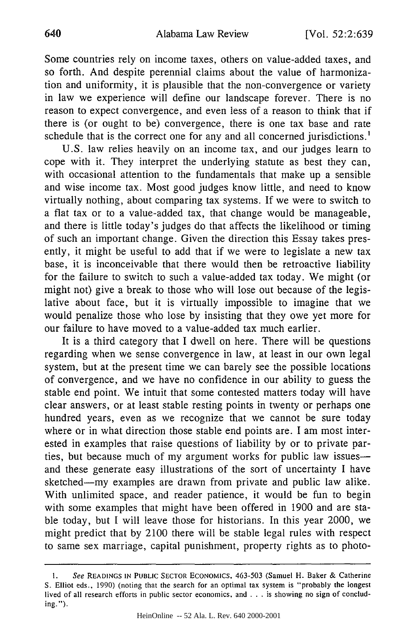Some countries rely on income taxes, others on value-added taxes, and so forth. And despite perennial claims about the value of harmonization and uniformity, it is plausible that the non-convergence or variety in law we experience will define our landscape forever. There is no reason to expect convergence, and even less of a reason to think that if there is (or ought to be) convergence, there is one tax base and rate schedule that is the correct one for any and all concerned jurisdictions.'

U.S. law relies heavily on an income tax, and our judges learn to cope with it. They interpret the underlying statute as best they can, with occasional attention to the fundamentals that make up a sensible and wise income tax. Most good judges know little, and need to know virtually nothing, about comparing tax systems. If we were to switch to a flat tax or to a value-added tax, that change would be manageable, and there is little today's judges do that affects the likelihood or timing of such an important change. Given the direction this Essay takes presently, it might be useful to add that if we were to legislate a new tax base, it is inconceivable that there would then be retroactive liability for the failure to switch to such a value-added tax today. We might (or might not) give a break to those who will lose out because of the legislative about face, but it is virtually impossible to imagine that we would penalize those who lose by insisting that they owe yet more for our failure to have moved to a value-added tax much earlier.

It is a third category that I dwell on here. There will be questions regarding when we sense convergence in law, at least in our own legal system, but at the present time we can barely see the possible locations of convergence, and we have no confidence in our ability to guess the stable end point. We intuit that some contested matters today will have clear answers, or at least stable resting points in twenty or perhaps one hundred years, even as we recognize that we cannot be sure today where or in what direction those stable end points are. I am most interested in examples that raise questions of liability by or to private parties, but because much of my argument works for public law issuesand these generate easy illustrations of the sort of uncertainty I have sketched-my examples are drawn from private and public law alike. With unlimited space, and reader patience, it would be fun to begin with some examples that might have been offered in 1900 and are stable today, but I will leave those for historians. In this year 2000, we might predict that by 2100 there will be stable legal rules with respect to same sex marriage, capital punishment, property rights as to photo-

**I.** *See* **READINGS IN PUBLIC** SECTOR ECONOMICS, **463-503** (Samuel H. Baker & Catherine **S.** Elliot eds., 1990) (noting that the search for an optimal tax system is "probably the longest lived of all research efforts in public sector economics, and . . . is showing no sign of concluding.").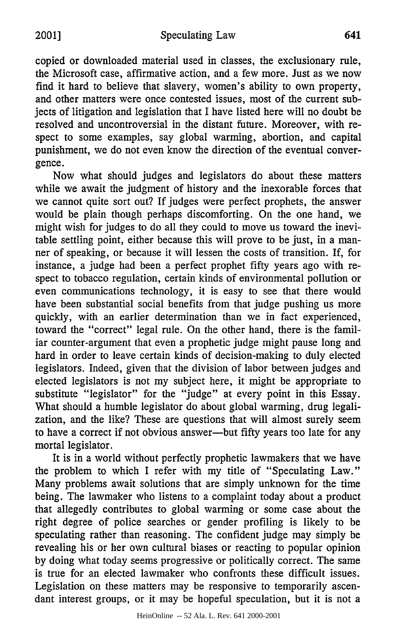copied or downloaded material used in classes, the exclusionary rule, the Microsoft case, affirmative action, and a few more. Just as we now find it hard to believe that slavery, women's ability to own property, and other matters were once contested issues, most of the current subjects of litigation and legislation that I have listed here will no doubt be resolved and uncontroversial in the distant future. Moreover, with respect to some examples, say global warming, abortion, and capital punishment, we do not even know the direction of the eventual convergence.

Now what should judges and legislators do about these matters while we await the judgment of history and the inexorable forces that we cannot quite sort out? If judges were perfect prophets, the answer would be plain though perhaps discomforting. On the one hand, we might wish for judges to do all they could to move us toward the inevitable settling point, either because this will prove to be just, in a manner of speaking, or because it will lessen the costs of transition. If, for instance, a judge had been a perfect prophet fifty years ago with respect to tobacco regulation, certain kinds of environmental pollution or even communications technology, it is easy to see that there would have been substantial social benefits from that judge pushing us more quickly, with an earlier determination than we in fact experienced, toward the "correct" legal rule. On the other hand, there is the familiar counter-argument that even a prophetic judge might pause long and hard in order to leave certain kinds of decision-making to duly elected legislators. Indeed, given that the division of labor between judges and elected legislators is not my subject here, it might be appropriate to substitute "legislator" for the "judge" at every point in this Essay. What should a humble legislator do about global warming, drug legalization, and the like? These are questions that will almost surely seem to have a correct if not obvious answer-but fifty years too late for any mortal legislator.

It is in a world without perfectly prophetic lawmakers that we have the problem to which I refer with my title of "Speculating Law." Many problems await solutions that are simply unknown for the time being. The lawmaker who listens to a complaint today about a product that allegedly contributes to global warming or some case about the right degree of police searches or gender profiling is likely to be speculating rather than reasoning. The confident judge may simply be revealing his or her own cultural biases or reacting to popular opinion by doing what today seems progressive or politically correct. The same is true for an elected lawmaker who confronts these difficult issues. Legislation on these matters may be responsive to temporarily ascendant interest groups, or it may be hopeful speculation, but it is not a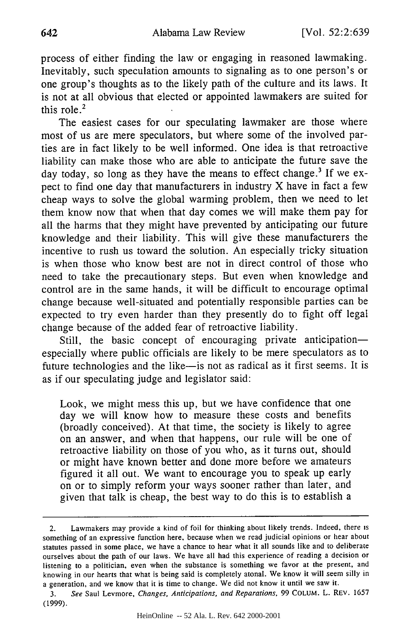process of either finding the law or engaging in reasoned lawmaking. Inevitably, such speculation amounts to signaling as to one person's or one group's thoughts as to the likely path of the culture and its laws. It is not at all obvious that elected or appointed lawmakers are suited for this role. $<sup>2</sup>$ </sup>

The easiest cases for our speculating lawmaker are those where most of us are mere speculators, but where some of the involved parties are in fact likely to be well informed. One idea is that retroactive liability can make those who are able to anticipate the future save the day today, so long as they have the means to effect change.<sup>3</sup> If we expect to find one day that manufacturers in industry X have in fact a few cheap ways to solve the global warming problem, then we need to let them know now that when that day comes we will make them pay for all the harms that they might have prevented by anticipating our future knowledge and their liability. This will give these manufacturers the incentive to rush us toward the solution. An especially tricky situation is when those who know best are not in direct control of those who need to take the precautionary steps. But even when knowledge and control are in the same hands, it will be difficult to encourage optimal change because well-situated and potentially responsible parties can be expected to try even harder than they presently do to fight off legal change because of the added fear of retroactive liability.

Still, the basic concept of encouraging private anticipationespecially where public officials are likely to be mere speculators as to future technologies and the like-is not as radical as it first seems. It is as if our speculating judge and legislator said:

Look, we might mess this up, but we have confidence that one day we will know how to measure these costs and benefits (broadly conceived). At that time, the society is likely to agree on an answer, and when that happens, our rule will be one of retroactive liability on those of you who, as it turns out, should or might have known better and done more before we amateurs figured it all out. We want to encourage you to speak up early on or to simply reform your ways sooner rather than later, and given that talk is cheap, the best way to do this is to establish a

<sup>2.</sup> Lawmakers may provide a kind of foil for thinking about likely trends. Indeed, there is something of an expressive function here, because when we read judicial opinions or hear about statutes passed in some place, we have a chance to hear what it all sounds like and to deliberate ourselves about the path of our laws. We have all had this experience of reading a decision or listening to a politician, even when the substance is something we favor at the present, and knowing in our hearts that what is being said is completely atonal. We know it will seem silly in a generation, and we know that it is time to change. We did not know it until we saw it.

<sup>3.</sup> *See* Saul Levmore, *Changes, Anticipations, and Reparations,* **99** COLUM. L. REV. 1657 (1999).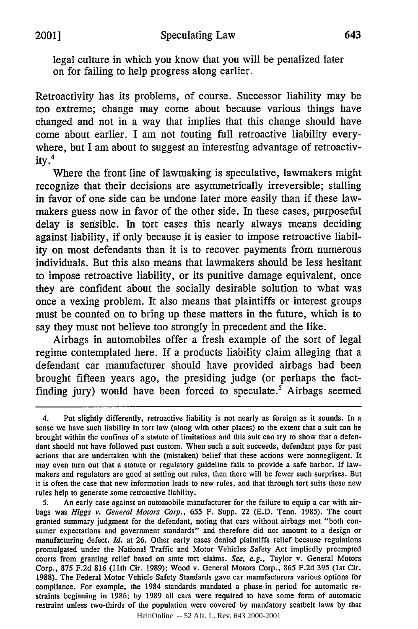legal culture in which you know that you will be penalized later on for failing to help progress along earlier.

Retroactivity has its problems, of course. Successor liability may be too extreme; change may come about because various things have changed and not in a way that implies that this change should have come about earlier. I am not touting full retroactive liability everywhere, but I am about to suggest an interesting advantage of retroactivity. $4$ 

Where the front line of lawmaking is speculative, lawmakers might recognize that their decisions are asymmetrically irreversible; stalling in favor of one side can be undone later more easily than if these lawmakers guess now in favor of the other side. In these cases, purposeful delay is sensible. In tort cases this nearly always means deciding against liability, if only because it is easier to impose retroactive liability on most defendants than it is to recover payments from numerous individuals. But this also means that lawmakers should be less hesitant to impose retroactive liability, or its punitive damage equivalent, once they are confident about the socially desirable solution to what was once a vexing problem. It also means that plaintiffs or interest groups must be counted on to bring up these matters in the future, which is to say they must not believe too strongly in precedent and the like.

Airbags in automobiles offer a fresh example of the sort of legal regime contemplated here. If a products liability claim alleging that a defendant car manufacturer should have provided airbags had been brought fifteen years ago, the presiding judge (or perhaps the factfinding jury) would have been forced to speculate.<sup>5</sup> Airbags seemed

**S.** An early case against an automobile manufacturer for the failure to equip a car with airbags was *Higgs v. General Motors Corp.,* 655 F. Supp. 22 (E.D. Tenn. 1985). The court granted summary judgment for the defendant, noting that cars without airbags met "both consumer expectations and government standards" and therefore did not amount to a design or manufacturing defect. *Id.* at 26. Other early cases denied plaintiffs relief because regulations promulgated under the National Traffic and Motor Vehicles Safety Act impliedly preempted courts from granting relief based on state tort claims. *See, e.g.,* Taylor v. General Motors Corp., 875 F.2d 816 (11th Cir. 1989); Wood v. General Motors Corp., 865 F.2d 395 (1st Cir. 1988). The Federal Motor Vehicle Safety Standards gave car manufacturers various options for compliance. For example, the 1984 standards mandated a phase-in period for automatic restraints beginning in 1986; by 1989 all cars were required to have some form of automatic restraint unless two-thirds of the population were covered by mandatory seatbelt laws by that

HeinOnline -- 52 Ala. L. Rev. 643 2000-2001

<sup>4.</sup> Put slightly differently, retroactive liability is not nearly as foreign as it sounds. In a sense we have such liability in tort law (along with other places) to the extent that a suit can be brought within the confines of a statute of limitations and this suit can try to show that a defendant should not have followed past custom. When such a suit succeeds, defendant pays for past actions that are undertaken with the (mistaken) belief that these actions were nonnegligent. It may even turn out that a statute or regulatory guideline fails to provide a safe harbor. If lawmakers and regulators are good at setting out rules, then there will be fewer such surprises. But it is often the case that new information leads to new rules, and that through tort suits these new rules help to generate some retroactive liability.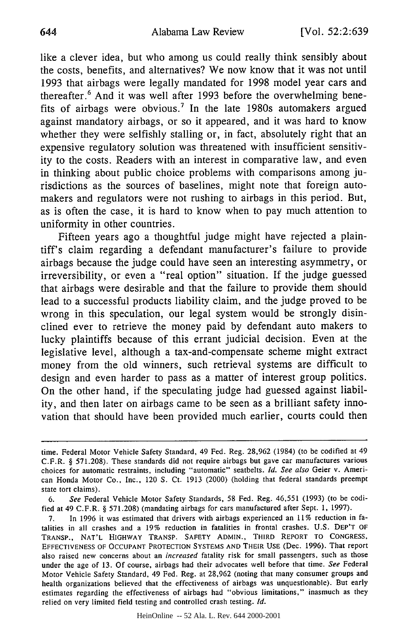like a clever idea, but who among us could really think sensibly about the costs, benefits, and alternatives? We now know that it was not until 1993 that airbags were legally mandated for 1998 model year cars and thereafter. 6 And it was well after 1993 before the overwhelming benefits of airbags were obvious.<sup>7</sup> In the late 1980s automakers argued against mandatory airbags, or so it appeared, and it was hard to know whether they were selfishly stalling or, in fact, absolutely right that an expensive regulatory solution was threatened with insufficient sensitivity to the costs. Readers with an interest in comparative law, and even in thinking about public choice problems with comparisons among jurisdictions as the sources of baselines, might note that foreign automakers and regulators were not rushing to airbags in this period. But, as is often the case, it is hard to know when to pay much attention to uniformity in other countries.

Fifteen years ago a thoughtful judge might have rejected a plaintiff's claim regarding a defendant manufacturer's failure to provide airbags because the judge could have seen an interesting asymmetry, or irreversibility, or even a "real option" situation. If the judge guessed that airbags were desirable and that the failure to provide them should lead to a successful products liability claim, and the judge proved to be wrong in this speculation, our legal system would be strongly disinclined ever to retrieve the money paid by defendant auto makers to lucky plaintiffs because of this errant judicial decision. Even at the legislative level, although a tax-and-compensate scheme might extract money from the old winners, such retrieval systems are difficult to design and even harder to pass as a matter of interest group politics. On the other hand, if the speculating judge had guessed against liability, and then later on airbags came to be seen as a brilliant safety innovation that should have been provided much earlier, courts could then

time. Federal Motor Vehicle Safety Standard, 49 Fed. Reg. 28,962 (1984) (to be codified at 49 C.F.R. § 571.208). These standards did not require airbags but gave car manufactures various choices for automatic restraints, including "automatic" seatbelts. *Id. See also* Geier v. American Honda Motor Co., Inc., 120 **S.** Ct. 1913 (2000) (holding that federal standards preempt state tort claims).

<sup>6.</sup> *See* Federal Vehicle Motor Safety Standards, 58 Fed. Reg. 46,551 (1993) (to be codified at 49 C.F.R. § 571.208) (mandating airbags for cars manufactured after Sept. 1, 1997).

<sup>7.</sup> In 1996 it was estimated that drivers with airbags experienced an 11% reduction in fatalities in all crashes and a 19% reduction in fatalities in frontal crashes. U.S. DEP'T OF TRANSP., NAT'L HIGHWAY TRANSP. SAFETY ADMIN., THIRD REPORT TO CONGRESS, **EFFECTIVENESS** OF **OCCUPANT** PROTECTION **SYSTEMS AND** THEIR USE (Dec. 1996). That report also raised new concerns about an *increased* fatality risk for small passengers, such as those under the age of 13. Of course, airbags had their advocates well before that time. *See* Federal Motor Vehicle Safety Standard, 49 Fed. Reg. at 28,962 (noting that many consumer groups and health organizations believed that the effectiveness of airbags was unquestionable). But early estimates regarding the effectiveness of airbags had "obvious limitations," inasmuch as they relied on very limited field testing and controlled crash testing. *Id.*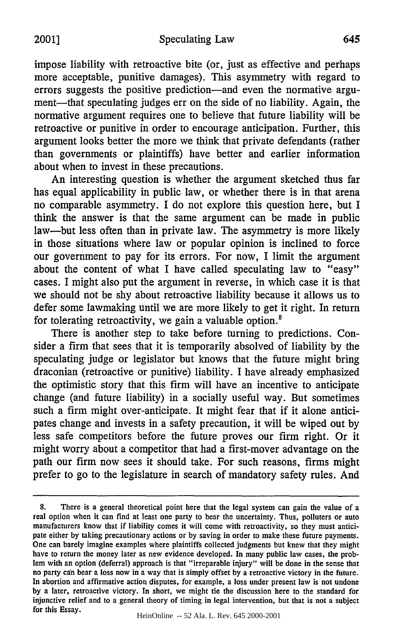impose liability with retroactive bite (or, just as effective and perhaps more acceptable, punitive damages). This asymmetry with regard to errors suggests the positive prediction—and even the normative argument—that speculating judges err on the side of no liability. Again, the normative argument requires one to believe that future liability will be retroactive or punitive in order to encourage anticipation. Further, this argument looks better the more we think that private defendants (rather than governments or plaintiffs) have better and earlier information about when to invest in these precautions.

An interesting question is whether the argument sketched thus far has equal applicability in public law, or whether there is in that arena no comparable asymmetry. I do not explore this question here, but I think the answer is that the same argument can be made in public law-but less often than in private law. The asymmetry is more likely in those situations where law or popular opinion is inclined to force our government to pay for its errors. For now, I limit the argument about the content of what I have called speculating law to "easy" cases. I might also put the argument in reverse, in which case it is that we should not be shy about retroactive liability because it allows us to defer some lawmaking until we are more likely to get it right. In return for tolerating retroactivity, we gain a valuable option.<sup>8</sup>

There is another step to take before turning to predictions. Consider a firm that sees that it is temporarily absolved of liability by the speculating judge or legislator but knows that the future might bring draconian (retroactive or punitive) liability. I have already emphasized the optimistic story that this firm will have an incentive to anticipate change (and future liability) in a socially useful way. But sometimes such a firm might over-anticipate. It might fear that if it alone anticipates change and invests in a safety precaution, it will be wiped out by less safe competitors before the future proves our firm right. Or it might worry about a competitor that had a first-mover advantage on the path our firm now sees it should take. For such reasons, firms might prefer to go to the legislature in search of mandatory safety rules. And

<sup>8.</sup> There is a general theoretical point here that the legal system can gain the value of a real option when it can find at least one party to bear the uncertainty. Thus, polluters or auto manufacturers know that if liability comes it will come with retroactivity, so they must anticipate either **by** taking precautionary actions or **by** saving in order to make these future payments. One can barely imagine examples where plaintiffs collected judgments but knew that they might have to return the money later as new evidence developed. In many public law cases, the problem with an option (deferral) approach is that "irreparable injury" will be done in the sense that no party can bear a loss now in a way that is simply offset by a retroactive victory in the future. In abortion and affirmative action disputes, for example, a loss under present law is not undone by a later, retroactive victory. In short, we might tie the discussion here to the standard for injunctive relief and to a general theory of timing in legal intervention, but that is not a subject for this Essay.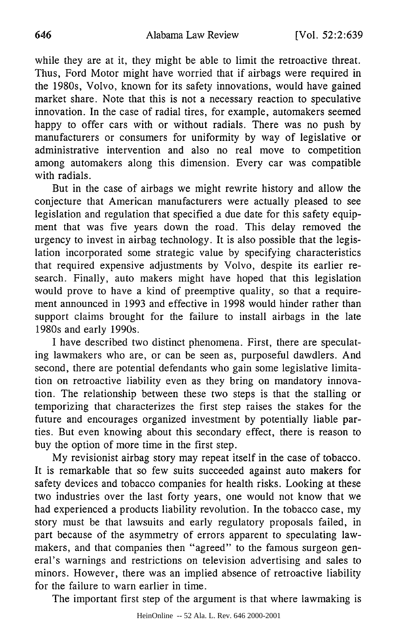while they are at it, they might be able to limit the retroactive threat. Thus, Ford Motor might have worried that if airbags were required in the 1980s, Volvo, known for its safety innovations, would have gained market share. Note that this is not a necessary reaction to speculative innovation. In the case of radial tires, for example, automakers seemed happy to offer cars with or without radials. There was no push by manufacturers or consumers for uniformity by way of legislative or administrative intervention and also no real move to competition among automakers along this dimension. Every car was compatible with radials.

But in the case of airbags we might rewrite history and allow the conjecture that American manufacturers were actually pleased to see legislation and regulation that specified a due date for this safety equipment that was five years down the road. This delay removed the urgency to invest in airbag technology. It is also possible that the legislation incorporated some strategic value by specifying characteristics that required expensive adjustments by Volvo, despite its earlier research. Finally, auto makers might have hoped that this legislation would prove to have a kind of preemptive quality, so that a requirement announced in 1993 and effective in 1998 would hinder rather than support claims brought for the failure to install airbags in the late 1980s and early 1990s.

I have described two distinct phenomena. First, there are speculating lawmakers who are, or can be seen as, purposeful dawdlers. And second, there are potential defendants who gain some legislative limitation on retroactive liability even as they bring on mandatory innovation. The relationship between these two steps is that the stalling or temporizing that characterizes the first step raises the stakes for the future and encourages organized investment by potentially liable parties. But even knowing about this secondary effect, there is reason to buy the option of more time in the first step.

My revisionist airbag story may repeat itself in the case of tobacco. It is remarkable that so few suits succeeded against auto makers for safety devices and tobacco companies for health risks. Looking at these two industries over the last forty years, one would not know that we had experienced a products liability revolution. In the tobacco case, my story must be that lawsuits and early regulatory proposals failed, in part because of the asymmetry of errors apparent to speculating lawmakers, and that companies then "agreed" to the famous surgeon general's warnings and restrictions on television advertising and sales to minors. However, there was an implied absence of retroactive liability for the failure to warn earlier in time.

The important first step of the argument is that where lawmaking is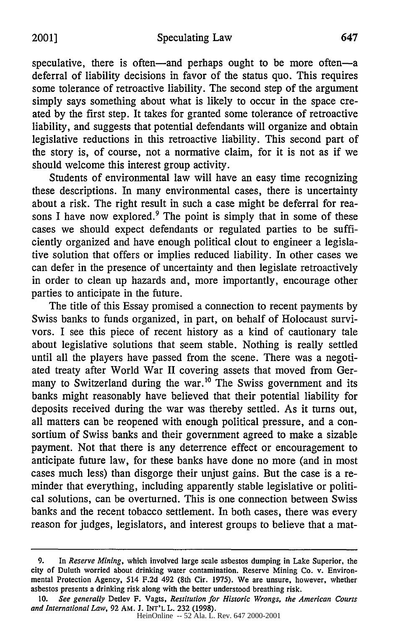speculative, there is often-and perhaps ought to be more often-a deferral of liability decisions in favor of the status quo. This requires some tolerance of retroactive liability. The second step of the argument simply says something about what is likely to occur in the space created by the first step. It takes for granted some tolerance of retroactive liability, and suggests that potential defendants will organize and obtain legislative reductions in this retroactive liability. This second part of the story is, of course, not a normative claim, for it is not as if we should welcome this interest group activity.

Students of environmental law will have an easy time recognizing these descriptions. In many environmental cases, there is uncertainty about a risk. The right result in such a case might be deferral for reasons I have now explored.<sup>9</sup> The point is simply that in some of these cases we should expect defendants or regulated parties to be sufficiently organized and have enough political clout to engineer a legislative solution that offers or implies reduced liability. In other cases we can defer in the presence of uncertainty and then legislate retroactively in order to clean up hazards and, more importantly, encourage other parties to anticipate in the future.

The title of this Essay promised a connection to recent payments by Swiss banks to funds organized, in part, on behalf of Holocaust survivors. I see this piece of recent history as a kind of cautionary tale about legislative solutions that seem stable. Nothing is really settled until all the players have passed from the scene. There was a negotiated treaty after World War II covering assets that moved from Germany to Switzerland during the war.<sup>10</sup> The Swiss government and its banks might reasonably have believed that their potential liability for deposits received during the war was thereby settled. As it turns out, all matters can be reopened with enough political pressure, and a consortium of Swiss banks and their government agreed to make a sizable payment. Not that there is any deterrence effect or encouragement to anticipate future law, for these banks have done no more (and in most cases much less) than disgorge their unjust gains. But the case is a reminder that everything, including apparently stable legislative or political solutions, can be overturned. This is one connection between Swiss banks and the recent tobacco settlement. In both cases, there was every reason for judges, legislators, and interest groups to believe that a mat-

<sup>9.</sup> In *Reserve Mining,* which involved large scale asbestos dumping in Lake Superior, the city of Duluth worried about drinking water contamination. Reserve Mining Co. v. Environmental Protection Agency, 514 F.2d 492 (8th Cir. 1975). We are unsure, however, whether asbestos presents a drinking risk along with the better understood breathing risk.

<sup>10.</sup> *See generally* Detlev F. Vagts, *Restitution for Historic Wrongs, the American Courts and International Law,* 92 AM. J. INT'L L. 232 (1998).